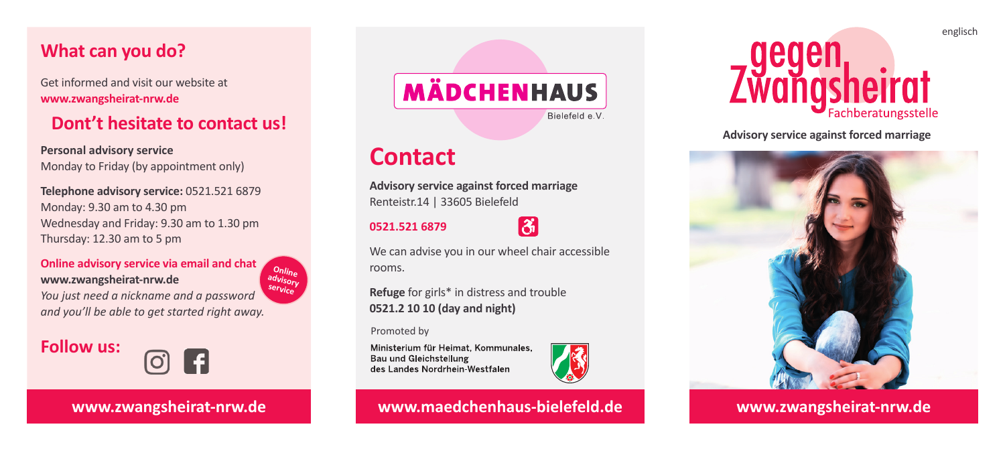# **What can you do?**

Get informed and visit our website at **www.zwangsheirat-nrw.de**

# **Dont't hesitate to contact us!**

**Personal advisory service** Monday to Friday (by appointment only)

**Telephone advisory service:** 0521.521 6879 Monday: 9.30 am to 4.30 pm Wednesday and Friday: 9.30 am to 1.30 pm Thursday: 12.30 am to 5 pm

**Online advisory service via email and chat www.zwangsheirat-nrw.de** *You just need a nickname and a password and you'll be able to get started right away.* **Online advisory service**

**Follow us:**



**www.zwangsheirat-nrw.de**



# **Contact**

**Advisory service against forced marriage** Renteistr.14 | 33605 Bielefeld

# **0521.521 6879**



We can advise you in our wheel chair accessible rooms.

**Refuge** for girls\* in distress and trouble **0521.2 10 10 (day and night)**

Promoted by

Ministerium für Heimat, Kommunales. Bau und Gleichstellung des Landes Nordrhein-Westfalen



### **www.maedchenhaus-bielefeld.de www.zwangsheirat-nrw.de**



**Advisory service against forced marriage**